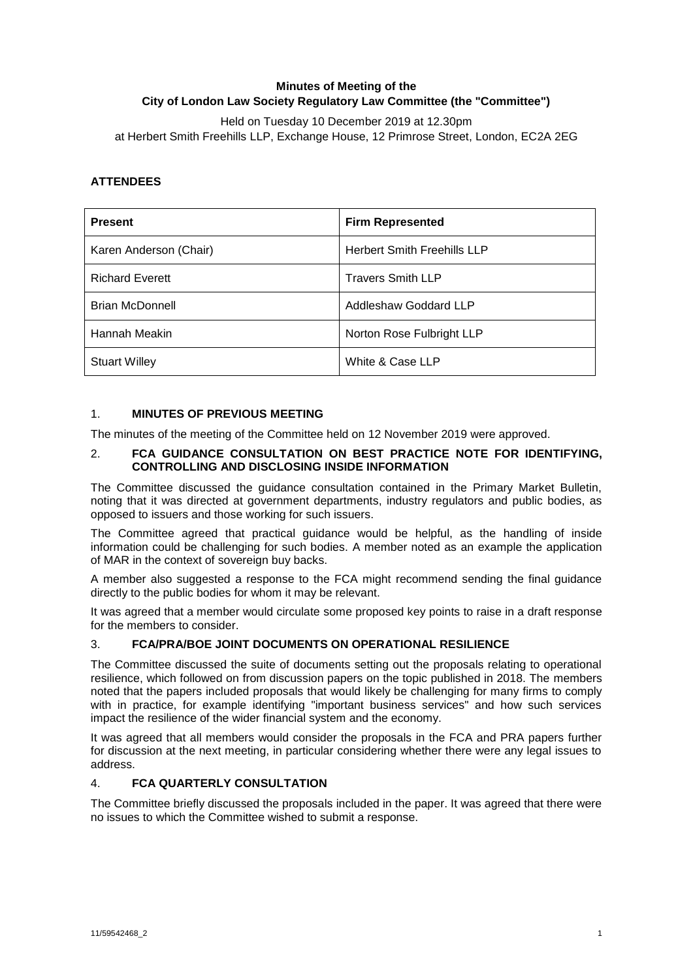# **Minutes of Meeting of the City of London Law Society Regulatory Law Committee (the "Committee")**

Held on Tuesday 10 December 2019 at 12.30pm at Herbert Smith Freehills LLP, Exchange House, 12 Primrose Street, London, EC2A 2EG

## **ATTENDEES**

| <b>Present</b>         | <b>Firm Represented</b>            |
|------------------------|------------------------------------|
| Karen Anderson (Chair) | <b>Herbert Smith Freehills LLP</b> |
| <b>Richard Everett</b> | <b>Travers Smith LLP</b>           |
| <b>Brian McDonnell</b> | Addleshaw Goddard LLP              |
| Hannah Meakin          | Norton Rose Fulbright LLP          |
| <b>Stuart Willey</b>   | White & Case LLP                   |

### 1. **MINUTES OF PREVIOUS MEETING**

The minutes of the meeting of the Committee held on 12 November 2019 were approved.

### 2. **FCA GUIDANCE CONSULTATION ON BEST PRACTICE NOTE FOR IDENTIFYING, CONTROLLING AND DISCLOSING INSIDE INFORMATION**

The Committee discussed the guidance consultation contained in the Primary Market Bulletin, noting that it was directed at government departments, industry regulators and public bodies, as opposed to issuers and those working for such issuers.

The Committee agreed that practical guidance would be helpful, as the handling of inside information could be challenging for such bodies. A member noted as an example the application of MAR in the context of sovereign buy backs.

A member also suggested a response to the FCA might recommend sending the final guidance directly to the public bodies for whom it may be relevant.

It was agreed that a member would circulate some proposed key points to raise in a draft response for the members to consider.

### 3. **FCA/PRA/BOE JOINT DOCUMENTS ON OPERATIONAL RESILIENCE**

The Committee discussed the suite of documents setting out the proposals relating to operational resilience, which followed on from discussion papers on the topic published in 2018. The members noted that the papers included proposals that would likely be challenging for many firms to comply with in practice, for example identifying "important business services" and how such services impact the resilience of the wider financial system and the economy.

It was agreed that all members would consider the proposals in the FCA and PRA papers further for discussion at the next meeting, in particular considering whether there were any legal issues to address.

## 4. **FCA QUARTERLY CONSULTATION**

The Committee briefly discussed the proposals included in the paper. It was agreed that there were no issues to which the Committee wished to submit a response.